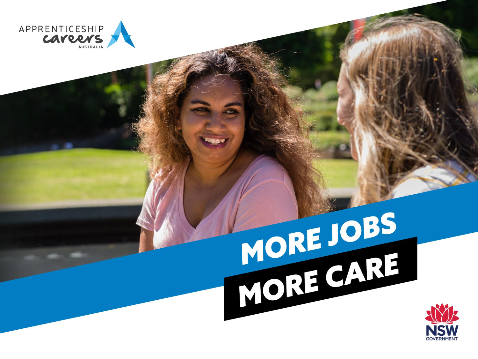

# MORE JOBS<br>MORE CARE

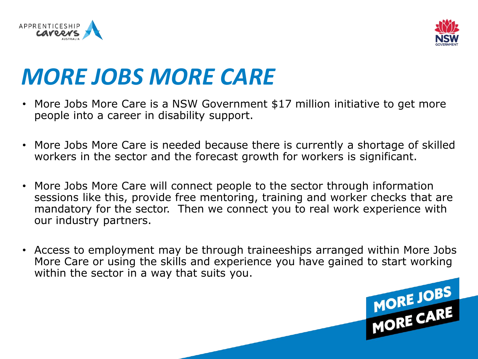



#### *MORE JOBS MORE CARE*

- More Jobs More Care is a NSW Government \$17 million initiative to get more people into a career in disability support.
- More Jobs More Care is needed because there is currently a shortage of skilled workers in the sector and the forecast growth for workers is significant.
- More Jobs More Care will connect people to the sector through information sessions like this, provide free mentoring, training and worker checks that are mandatory for the sector. Then we connect you to real work experience with our industry partners.
- Access to employment may be through traineeships arranged within More Jobs More Care or using the skills and experience you have gained to start working within the sector in a way that suits you.

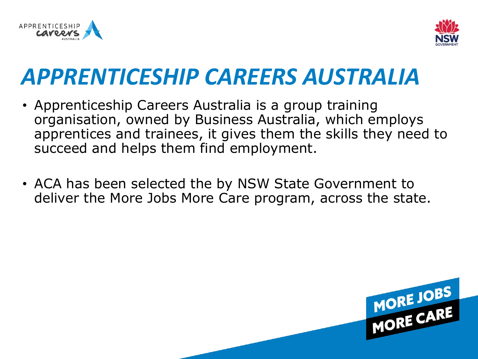



#### *APPRENTICESHIP CAREERS AUSTRALIA*

- Apprenticeship Careers Australia is a group training organisation, owned by Business Australia, which employs apprentices and trainees, it gives them the skills they need to succeed and helps them find employment.
- ACA has been selected the by NSW State Government to deliver the More Jobs More Care program, across the state.

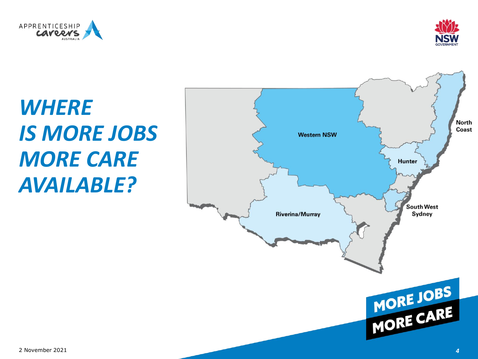



# *WHERE IS MORE JOBS MORE CARE AVAILABLE?*

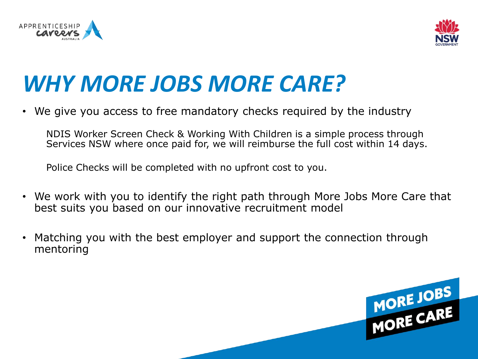



# *WHY MORE JOBS MORE CARE?*

• We give you access to free mandatory checks required by the industry

NDIS Worker Screen Check & Working With Children is a simple process through Services NSW where once paid for, we will reimburse the full cost within 14 days.

Police Checks will be completed with no upfront cost to you.

- We work with you to identify the right path through More Jobs More Care that best suits you based on our innovative recruitment model
- Matching you with the best employer and support the connection through mentoring

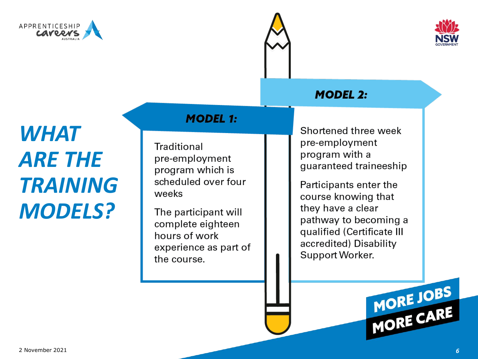





#### **MODEL 2:**

# *WHAT ARE THE TRAINING MODELS?*

#### **MODEL 1:**

Traditional pre-employment program which is scheduled over four weeks

The participant will complete eighteen hours of work experience as part of the course.

Shortened three week pre-employment program with a guaranteed traineeship

Participants enter the course knowing that they have a clear pathway to becoming a qualified (Certificate III accredited) Disability Support Worker.

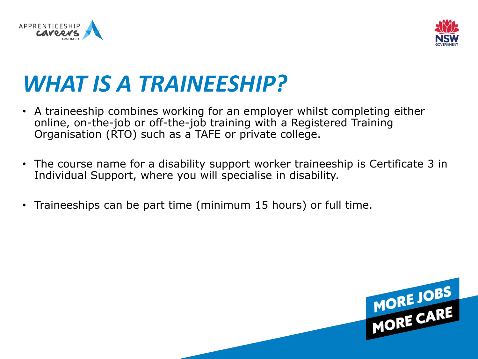



### *WHAT IS A TRAINEESHIP?*

- A traineeship combines working for an employer whilst completing either online, on-the-job or off-the-job training with a Registered Training Organisation (RTO) such as a TAFE or private college.
- The course name for a disability support worker traineeship is Certificate 3 in Individual Support, where you will specialise in disability.
- Traineeships can be part time (minimum 15 hours) or full time.

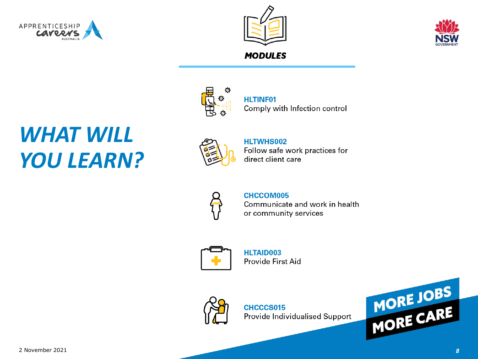





#### **MODULES**

#### *WHAT WILL YOU LEARN?*



**HLTINF01** Comply with Infection control



#### HLTWHS002 Follow safe work practices for direct client care



#### **CHCCOM005**

Communicate and work in health or community services



**HLTAID003** Provide First Aid



CHCCCS015 Provide Individualised Support

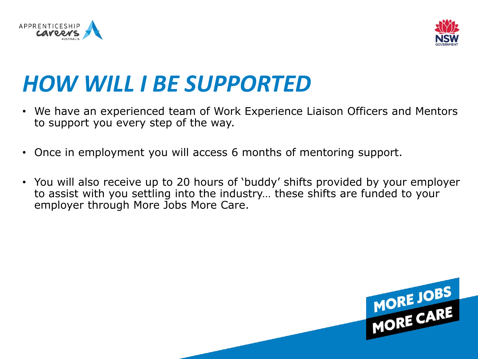



### *HOW WILL I BE SUPPORTED*

- We have an experienced team of Work Experience Liaison Officers and Mentors to support you every step of the way.
- Once in employment you will access 6 months of mentoring support.
- You will also receive up to 20 hours of 'buddy' shifts provided by your employer to assist with you settling into the industry… these shifts are funded to your employer through More Jobs More Care.

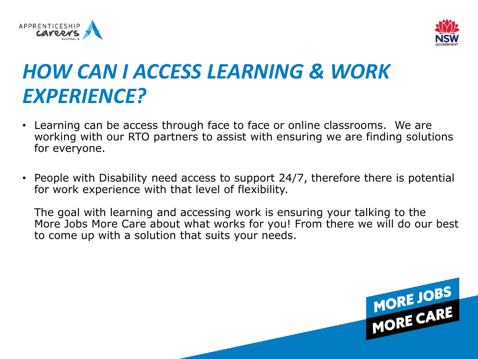



#### *HOW CAN I ACCESS LEARNING & WORK EXPERIENCE?*

- Learning can be access through face to face or online classrooms. We are working with our RTO partners to assist with ensuring we are finding solutions for everyone.
- People with Disability need access to support 24/7, therefore there is potential for work experience with that level of flexibility.

The goal with learning and accessing work is ensuring your talking to the More Jobs More Care about what works for you! From there we will do our best to come up with a solution that suits your needs.

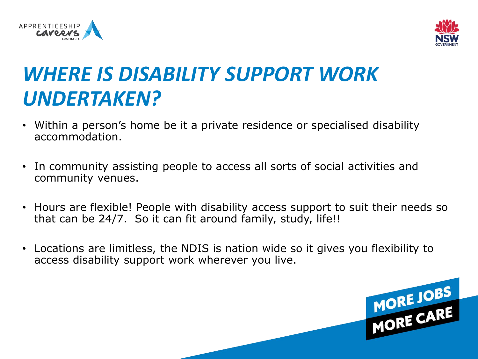



#### *WHERE IS DISABILITY SUPPORT WORK UNDERTAKEN?*

- Within a person's home be it a private residence or specialised disability accommodation.
- In community assisting people to access all sorts of social activities and community venues.
- Hours are flexible! People with disability access support to suit their needs so that can be 24/7. So it can fit around family, study, life!!
- Locations are limitless, the NDIS is nation wide so it gives you flexibility to access disability support work wherever you live.

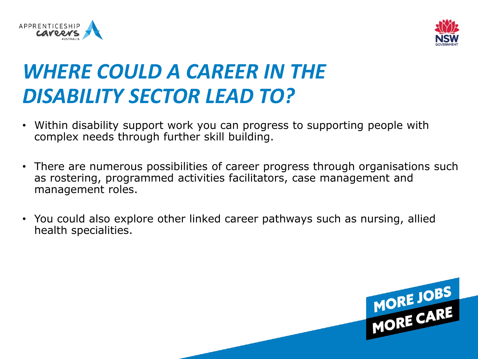



#### *WHERE COULD A CAREER IN THE DISABILITY SECTOR LEAD TO?*

- Within disability support work you can progress to supporting people with complex needs through further skill building.
- There are numerous possibilities of career progress through organisations such as rostering, programmed activities facilitators, case management and management roles.
- You could also explore other linked career pathways such as nursing, allied health specialities.

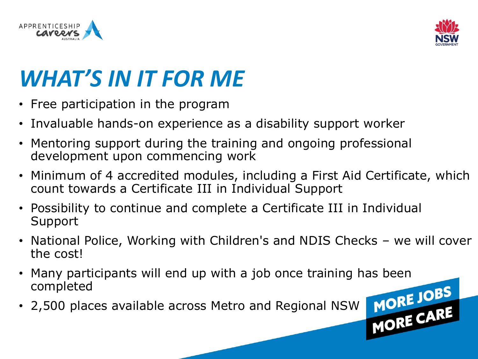



# *WHAT'S IN IT FOR ME*

- Free participation in the program
- Invaluable hands-on experience as a disability support worker
- Mentoring support during the training and ongoing professional development upon commencing work
- Minimum of 4 accredited modules, including a First Aid Certificate, which count towards a Certificate III in Individual Support
- Possibility to continue and complete a Certificate III in Individual Support
- National Police, Working with Children's and NDIS Checks we will cover the cost!
- Many participants will end up with a job once training has been completed
-